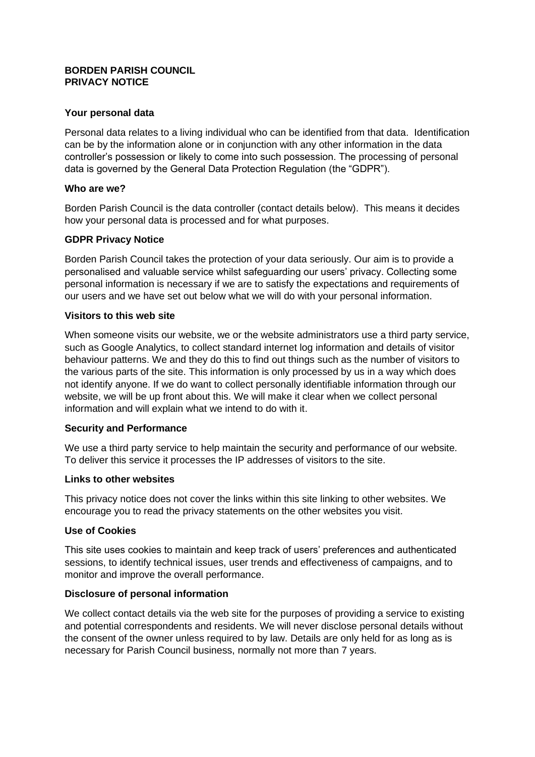## **BORDEN PARISH COUNCIL PRIVACY NOTICE**

## **Your personal data**

Personal data relates to a living individual who can be identified from that data. Identification can be by the information alone or in conjunction with any other information in the data controller's possession or likely to come into such possession. The processing of personal data is governed by the General Data Protection Regulation (the "GDPR").

### **Who are we?**

Borden Parish Council is the data controller (contact details below). This means it decides how your personal data is processed and for what purposes.

### **GDPR Privacy Notice**

Borden Parish Council takes the protection of your data seriously. Our aim is to provide a personalised and valuable service whilst safeguarding our users' privacy. Collecting some personal information is necessary if we are to satisfy the expectations and requirements of our users and we have set out below what we will do with your personal information.

#### **Visitors to this web site**

When someone visits our website, we or the website administrators use a third party service, such as Google Analytics, to collect standard internet log information and details of visitor behaviour patterns. We and they do this to find out things such as the number of visitors to the various parts of the site. This information is only processed by us in a way which does not identify anyone. If we do want to collect personally identifiable information through our website, we will be up front about this. We will make it clear when we collect personal information and will explain what we intend to do with it.

#### **Security and Performance**

We use a third party service to help maintain the security and performance of our website. To deliver this service it processes the IP addresses of visitors to the site.

## **Links to other websites**

This privacy notice does not cover the links within this site linking to other websites. We encourage you to read the privacy statements on the other websites you visit.

#### **Use of Cookies**

This site uses cookies to maintain and keep track of users' preferences and authenticated sessions, to identify technical issues, user trends and effectiveness of campaigns, and to monitor and improve the overall performance.

## **Disclosure of personal information**

We collect contact details via the web site for the purposes of providing a service to existing and potential correspondents and residents. We will never disclose personal details without the consent of the owner unless required to by law. Details are only held for as long as is necessary for Parish Council business, normally not more than 7 years.